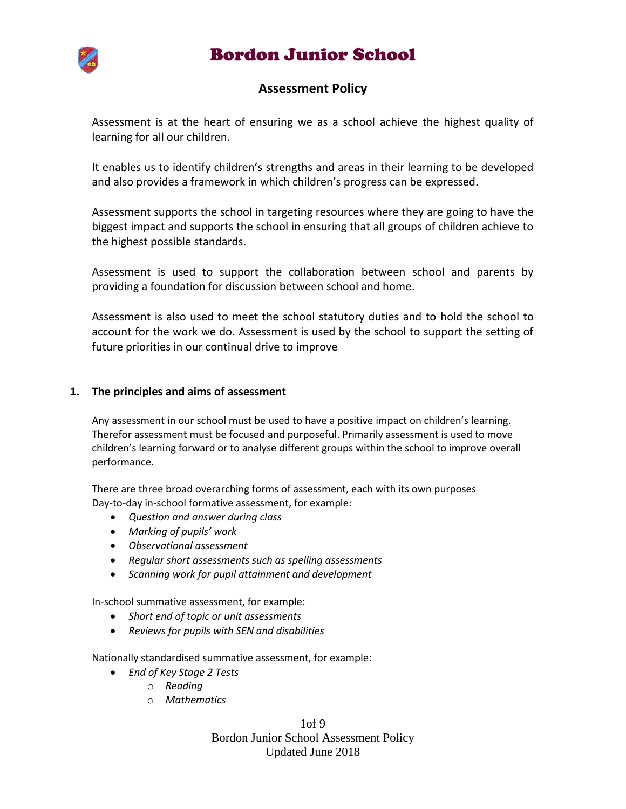# Bordon Junior School



### **Assessment Policy**

Assessment is at the heart of ensuring we as a school achieve the highest quality of learning for all our children.

It enables us to identify children's strengths and areas in their learning to be developed and also provides a framework in which children's progress can be expressed.

Assessment supports the school in targeting resources where they are going to have the biggest impact and supports the school in ensuring that all groups of children achieve to the highest possible standards.

Assessment is used to support the collaboration between school and parents by providing a foundation for discussion between school and home.

Assessment is also used to meet the school statutory duties and to hold the school to account for the work we do. Assessment is used by the school to support the setting of future priorities in our continual drive to improve

#### **1. The principles and aims of assessment**

Any assessment in our school must be used to have a positive impact on children's learning. Therefor assessment must be focused and purposeful. Primarily assessment is used to move children's learning forward or to analyse different groups within the school to improve overall performance.

There are three broad overarching forms of assessment, each with its own purposes Day-to-day in-school formative assessment, for example:

- *Question and answer during class*
- *Marking of pupils' work*
- *Observational assessment*
- *Regular short assessments such as spelling assessments*
- *Scanning work for pupil attainment and development*

In-school summative assessment, for example:

- *Short end of topic or unit assessments*
- *Reviews for pupils with SEN and disabilities*

Nationally standardised summative assessment, for example:

- *End of Key Stage 2 Tests*
	- o *Reading*
	- o *Mathematics*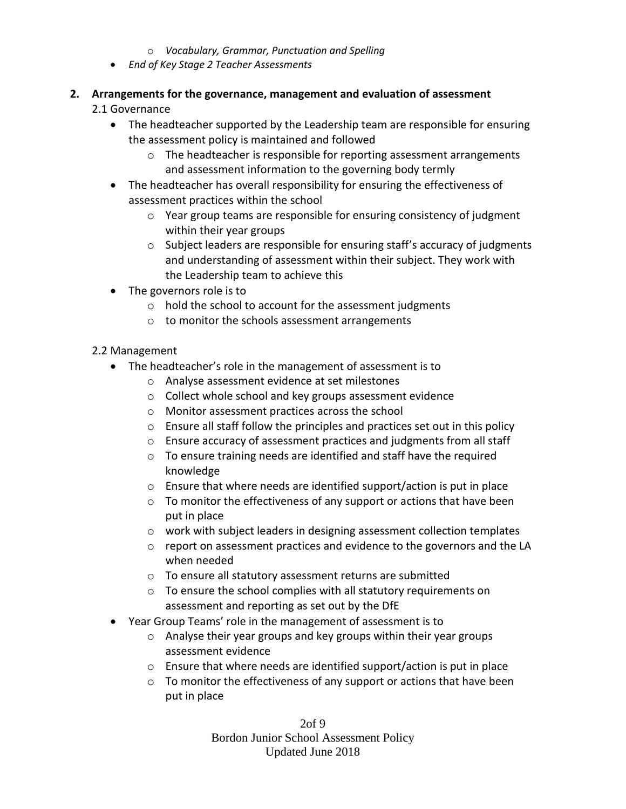#### o *Vocabulary, Grammar, Punctuation and Spelling*

*End of Key Stage 2 Teacher Assessments*

### **2. Arrangements for the governance, management and evaluation of assessment**

- 2.1 Governance
	- The headteacher supported by the Leadership team are responsible for ensuring the assessment policy is maintained and followed
		- $\circ$  The headteacher is responsible for reporting assessment arrangements and assessment information to the governing body termly
	- The headteacher has overall responsibility for ensuring the effectiveness of assessment practices within the school
		- $\circ$  Year group teams are responsible for ensuring consistency of judgment within their year groups
		- o Subject leaders are responsible for ensuring staff's accuracy of judgments and understanding of assessment within their subject. They work with the Leadership team to achieve this
	- The governors role is to
		- o hold the school to account for the assessment judgments
		- o to monitor the schools assessment arrangements

#### 2.2 Management

- The headteacher's role in the management of assessment is to
	- o Analyse assessment evidence at set milestones
	- o Collect whole school and key groups assessment evidence
	- o Monitor assessment practices across the school
	- o Ensure all staff follow the principles and practices set out in this policy
	- o Ensure accuracy of assessment practices and judgments from all staff
	- o To ensure training needs are identified and staff have the required knowledge
	- o Ensure that where needs are identified support/action is put in place
	- o To monitor the effectiveness of any support or actions that have been put in place
	- o work with subject leaders in designing assessment collection templates
	- $\circ$  report on assessment practices and evidence to the governors and the LA when needed
	- o To ensure all statutory assessment returns are submitted
	- o To ensure the school complies with all statutory requirements on assessment and reporting as set out by the DfE
- Year Group Teams' role in the management of assessment is to
	- o Analyse their year groups and key groups within their year groups assessment evidence
	- $\circ$  Ensure that where needs are identified support/action is put in place
	- o To monitor the effectiveness of any support or actions that have been put in place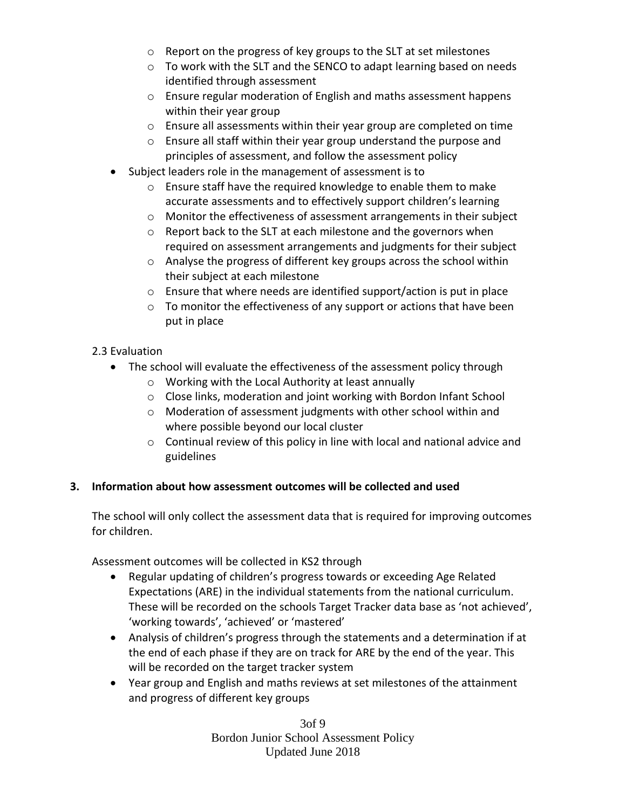- o Report on the progress of key groups to the SLT at set milestones
- o To work with the SLT and the SENCO to adapt learning based on needs identified through assessment
- o Ensure regular moderation of English and maths assessment happens within their year group
- $\circ$  Ensure all assessments within their year group are completed on time
- o Ensure all staff within their year group understand the purpose and principles of assessment, and follow the assessment policy
- Subject leaders role in the management of assessment is to
	- o Ensure staff have the required knowledge to enable them to make accurate assessments and to effectively support children's learning
	- o Monitor the effectiveness of assessment arrangements in their subject
	- o Report back to the SLT at each milestone and the governors when required on assessment arrangements and judgments for their subject
	- o Analyse the progress of different key groups across the school within their subject at each milestone
	- o Ensure that where needs are identified support/action is put in place
	- o To monitor the effectiveness of any support or actions that have been put in place

# 2.3 Evaluation

- The school will evaluate the effectiveness of the assessment policy through
	- o Working with the Local Authority at least annually
	- o Close links, moderation and joint working with Bordon Infant School
	- o Moderation of assessment judgments with other school within and where possible beyond our local cluster
	- o Continual review of this policy in line with local and national advice and guidelines

#### **3. Information about how assessment outcomes will be collected and used**

The school will only collect the assessment data that is required for improving outcomes for children.

Assessment outcomes will be collected in KS2 through

- Regular updating of children's progress towards or exceeding Age Related Expectations (ARE) in the individual statements from the national curriculum. These will be recorded on the schools Target Tracker data base as 'not achieved', 'working towards', 'achieved' or 'mastered'
- Analysis of children's progress through the statements and a determination if at the end of each phase if they are on track for ARE by the end of the year. This will be recorded on the target tracker system
- Year group and English and maths reviews at set milestones of the attainment and progress of different key groups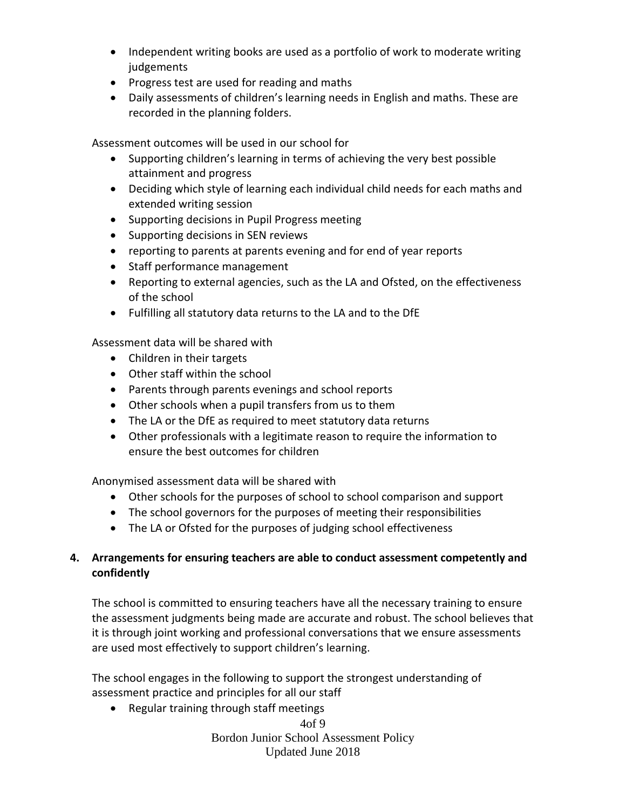- Independent writing books are used as a portfolio of work to moderate writing judgements
- Progress test are used for reading and maths
- Daily assessments of children's learning needs in English and maths. These are recorded in the planning folders.

Assessment outcomes will be used in our school for

- Supporting children's learning in terms of achieving the very best possible attainment and progress
- Deciding which style of learning each individual child needs for each maths and extended writing session
- Supporting decisions in Pupil Progress meeting
- Supporting decisions in SEN reviews
- reporting to parents at parents evening and for end of year reports
- Staff performance management
- Reporting to external agencies, such as the LA and Ofsted, on the effectiveness of the school
- Fulfilling all statutory data returns to the LA and to the DfE

Assessment data will be shared with

- Children in their targets
- Other staff within the school
- Parents through parents evenings and school reports
- Other schools when a pupil transfers from us to them
- The LA or the DfE as required to meet statutory data returns
- Other professionals with a legitimate reason to require the information to ensure the best outcomes for children

Anonymised assessment data will be shared with

- Other schools for the purposes of school to school comparison and support
- The school governors for the purposes of meeting their responsibilities
- The LA or Ofsted for the purposes of judging school effectiveness

# **4. Arrangements for ensuring teachers are able to conduct assessment competently and confidently**

The school is committed to ensuring teachers have all the necessary training to ensure the assessment judgments being made are accurate and robust. The school believes that it is through joint working and professional conversations that we ensure assessments are used most effectively to support children's learning.

The school engages in the following to support the strongest understanding of assessment practice and principles for all our staff

Regular training through staff meetings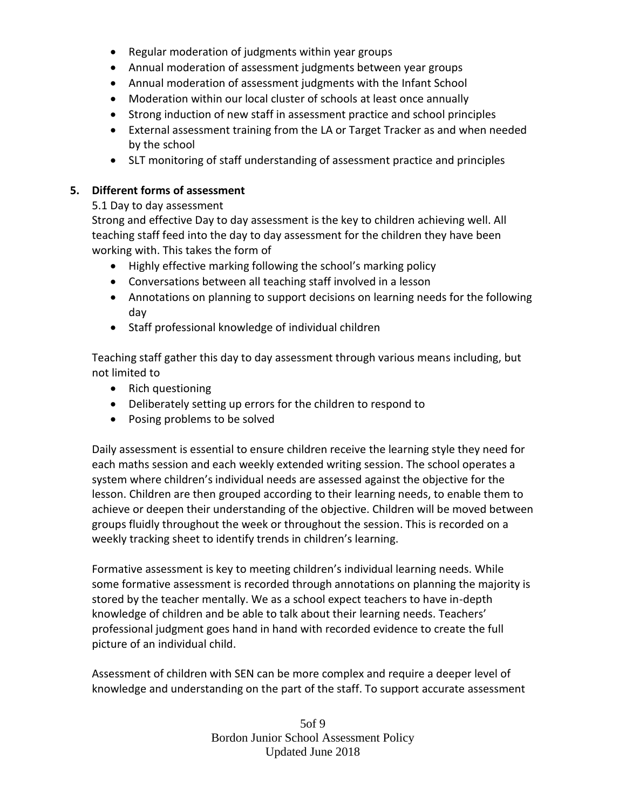- Regular moderation of judgments within year groups
- Annual moderation of assessment judgments between year groups
- Annual moderation of assessment judgments with the Infant School
- Moderation within our local cluster of schools at least once annually
- Strong induction of new staff in assessment practice and school principles
- External assessment training from the LA or Target Tracker as and when needed by the school
- SLT monitoring of staff understanding of assessment practice and principles

# **5. Different forms of assessment**

# 5.1 Day to day assessment

Strong and effective Day to day assessment is the key to children achieving well. All teaching staff feed into the day to day assessment for the children they have been working with. This takes the form of

- Highly effective marking following the school's marking policy
- Conversations between all teaching staff involved in a lesson
- Annotations on planning to support decisions on learning needs for the following day
- Staff professional knowledge of individual children

Teaching staff gather this day to day assessment through various means including, but not limited to

- Rich questioning
- Deliberately setting up errors for the children to respond to
- Posing problems to be solved

Daily assessment is essential to ensure children receive the learning style they need for each maths session and each weekly extended writing session. The school operates a system where children's individual needs are assessed against the objective for the lesson. Children are then grouped according to their learning needs, to enable them to achieve or deepen their understanding of the objective. Children will be moved between groups fluidly throughout the week or throughout the session. This is recorded on a weekly tracking sheet to identify trends in children's learning.

Formative assessment is key to meeting children's individual learning needs. While some formative assessment is recorded through annotations on planning the majority is stored by the teacher mentally. We as a school expect teachers to have in-depth knowledge of children and be able to talk about their learning needs. Teachers' professional judgment goes hand in hand with recorded evidence to create the full picture of an individual child.

Assessment of children with SEN can be more complex and require a deeper level of knowledge and understanding on the part of the staff. To support accurate assessment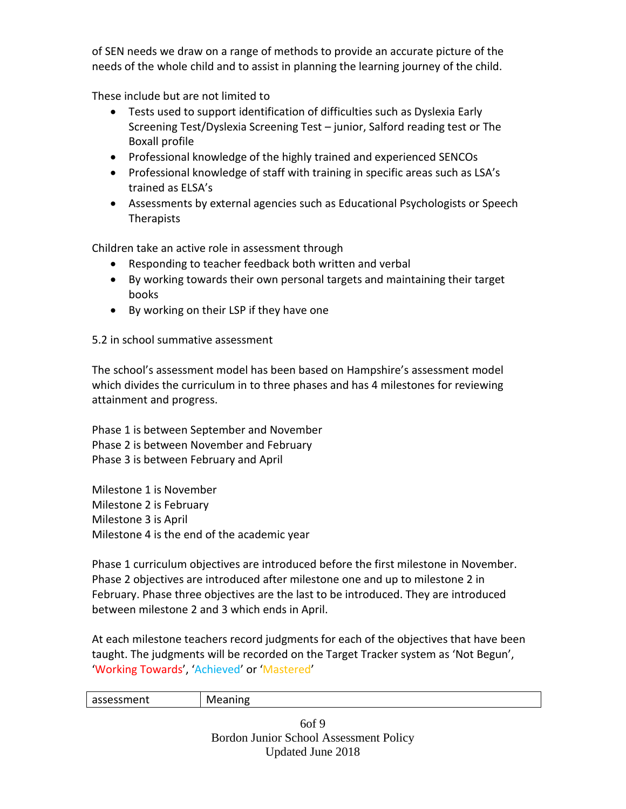of SEN needs we draw on a range of methods to provide an accurate picture of the needs of the whole child and to assist in planning the learning journey of the child.

These include but are not limited to

- Tests used to support identification of difficulties such as Dyslexia Early Screening Test/Dyslexia Screening Test – junior, Salford reading test or The Boxall profile
- Professional knowledge of the highly trained and experienced SENCOs
- Professional knowledge of staff with training in specific areas such as LSA's trained as ELSA's
- Assessments by external agencies such as Educational Psychologists or Speech Therapists

Children take an active role in assessment through

- Responding to teacher feedback both written and verbal
- By working towards their own personal targets and maintaining their target books
- By working on their LSP if they have one

5.2 in school summative assessment

The school's assessment model has been based on Hampshire's assessment model which divides the curriculum in to three phases and has 4 milestones for reviewing attainment and progress.

Phase 1 is between September and November Phase 2 is between November and February Phase 3 is between February and April

Milestone 1 is November Milestone 2 is February Milestone 3 is April Milestone 4 is the end of the academic year

Phase 1 curriculum objectives are introduced before the first milestone in November. Phase 2 objectives are introduced after milestone one and up to milestone 2 in February. Phase three objectives are the last to be introduced. They are introduced between milestone 2 and 3 which ends in April.

At each milestone teachers record judgments for each of the objectives that have been taught. The judgments will be recorded on the Target Tracker system as 'Not Begun', 'Working Towards', 'Achieved' or 'Mastered'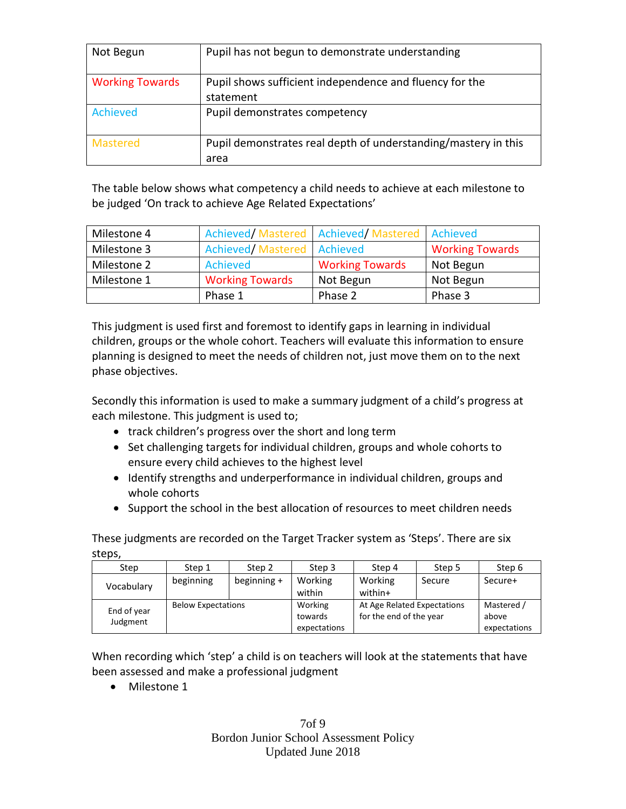| Pupil shows sufficient independence and fluency for the                |
|------------------------------------------------------------------------|
| statement                                                              |
| Pupil demonstrates competency                                          |
| Pupil demonstrates real depth of understanding/mastery in this<br>area |
|                                                                        |

The table below shows what competency a child needs to achieve at each milestone to be judged 'On track to achieve Age Related Expectations'

| Milestone 4 |                            | Achieved/Mastered   Achieved/Mastered   Achieved |                        |
|-------------|----------------------------|--------------------------------------------------|------------------------|
| Milestone 3 | Achieved/Mastered Achieved |                                                  | <b>Working Towards</b> |
| Milestone 2 | Achieved                   | <b>Working Towards</b>                           | Not Begun              |
| Milestone 1 | <b>Working Towards</b>     | Not Begun                                        | Not Begun              |
|             | Phase 1                    | Phase 2                                          | Phase 3                |

This judgment is used first and foremost to identify gaps in learning in individual children, groups or the whole cohort. Teachers will evaluate this information to ensure planning is designed to meet the needs of children not, just move them on to the next phase objectives.

Secondly this information is used to make a summary judgment of a child's progress at each milestone. This judgment is used to;

- track children's progress over the short and long term
- Set challenging targets for individual children, groups and whole cohorts to ensure every child achieves to the highest level
- Identify strengths and underperformance in individual children, groups and whole cohorts
- Support the school in the best allocation of resources to meet children needs

These judgments are recorded on the Target Tracker system as 'Steps'. There are six steps,

| Step        | Step 1                    | Step 2      | Step 3       | Step 4                      | Step 5 | Step 6       |
|-------------|---------------------------|-------------|--------------|-----------------------------|--------|--------------|
| Vocabulary  | beginning                 | beginning + | Working      | Working                     | Secure | Secure+      |
|             |                           |             | within       | within+                     |        |              |
| End of year | <b>Below Expectations</b> |             | Working      | At Age Related Expectations |        | Mastered /   |
| Judgment    |                           |             | towards      | for the end of the year     |        | above        |
|             |                           |             | expectations |                             |        | expectations |

When recording which 'step' a child is on teachers will look at the statements that have been assessed and make a professional judgment

• Milestone 1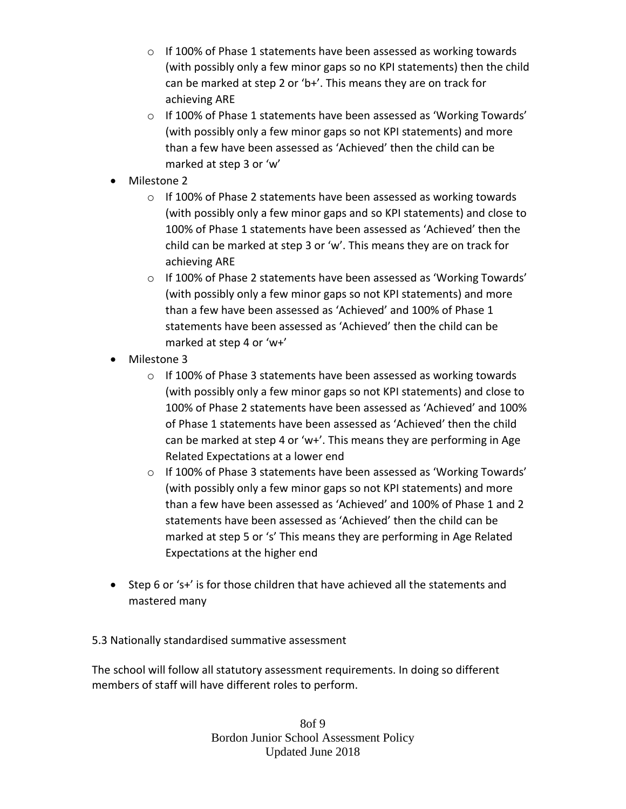- o If 100% of Phase 1 statements have been assessed as working towards (with possibly only a few minor gaps so no KPI statements) then the child can be marked at step 2 or 'b+'. This means they are on track for achieving ARE
- $\circ$  If 100% of Phase 1 statements have been assessed as 'Working Towards' (with possibly only a few minor gaps so not KPI statements) and more than a few have been assessed as 'Achieved' then the child can be marked at step 3 or 'w'
- Milestone 2
	- o If 100% of Phase 2 statements have been assessed as working towards (with possibly only a few minor gaps and so KPI statements) and close to 100% of Phase 1 statements have been assessed as 'Achieved' then the child can be marked at step 3 or 'w'. This means they are on track for achieving ARE
	- o If 100% of Phase 2 statements have been assessed as 'Working Towards' (with possibly only a few minor gaps so not KPI statements) and more than a few have been assessed as 'Achieved' and 100% of Phase 1 statements have been assessed as 'Achieved' then the child can be marked at step 4 or 'w+'
- Milestone 3
	- o If 100% of Phase 3 statements have been assessed as working towards (with possibly only a few minor gaps so not KPI statements) and close to 100% of Phase 2 statements have been assessed as 'Achieved' and 100% of Phase 1 statements have been assessed as 'Achieved' then the child can be marked at step 4 or 'w+'. This means they are performing in Age Related Expectations at a lower end
	- o If 100% of Phase 3 statements have been assessed as 'Working Towards' (with possibly only a few minor gaps so not KPI statements) and more than a few have been assessed as 'Achieved' and 100% of Phase 1 and 2 statements have been assessed as 'Achieved' then the child can be marked at step 5 or 's' This means they are performing in Age Related Expectations at the higher end
- Step 6 or 's+' is for those children that have achieved all the statements and mastered many

#### 5.3 Nationally standardised summative assessment

The school will follow all statutory assessment requirements. In doing so different members of staff will have different roles to perform.